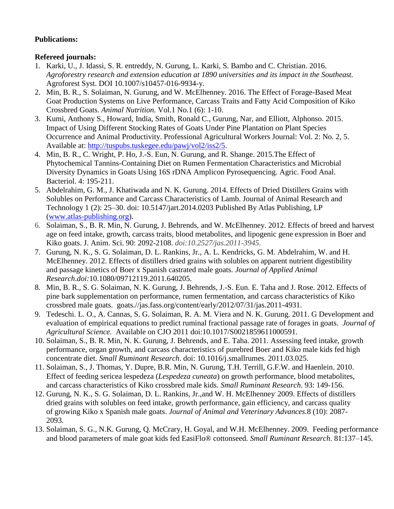## **Publications:**

## **Refereed journals:**

- 1. Karki, U., J. Idassi, S. R. entreddy, N. Gurung, L. Karki, S. Bambo and C. Christian. 2016. *Agroforestry research and extension education at 1890 universities and its impact in the Southeast.*  Agroforest Syst. DOI 10.1007/s10457-016-9934-y.
- 2. Min, B. R., S. Solaiman, N. Gurung, and W. McElhenney. 2016. The Effect of Forage-Based Meat Goat Production Systems on Live Performance, Carcass Traits and Fatty Acid Composition of Kiko Crossbred Goats. *Animal Nutrition.* Vol.1 No.1 (6): 1-10.
- 3. Kumi, Anthony S., Howard, India, Smith, Ronald C., Gurung, Nar, and Elliott, Alphonso. 2015. Impact of Using Different Stocking Rates of Goats Under Pine Plantation on Plant Species Occurrence and Animal Productivity. Professional Agricultural Workers Journal: Vol. 2: No. 2, 5. Available at: [http://tuspubs.tuskegee.edu/pawj/vol2/iss2/5.](http://tuspubs.tuskegee.edu/pawj/vol2/iss2/5)
- 4. Min, B. R., C. Wright, P. Ho, J.-S. Eun, N. Gurung, and R. Shange. 2015.The Effect of Phytochemical Tannins-Containing Diet on Rumen Fermentation Characteristics and Microbial Diversity Dynamics in Goats Using 16S rDNA Amplicon Pyrosequencing. Agric. Food Anal. Bacteriol. 4: 195-211.
- 5. Abdelrahim, G. M., J. Khatiwada and N. K. Gurung. 2014. Effects of Dried Distillers Grains with Solubles on Performance and Carcass Characteristics of Lamb. Journal of Animal Research and Technology 1 (2): 25–30. doi: 10.5147/jart.2014.0203 Published By Atlas Publishing, LP [\(www.atlas-publishing.org\)](http://www.atlas-publishing.org/).
- 6. Solaiman, S., B. R. Min, N. Gurung, J. Behrends, and W. McElhenney. 2012. Effects of breed and harvest age on feed intake, growth, carcass traits, blood metabolites, and lipogenic gene expression in Boer and Kiko goats. J. Anim. Sci. 90: 2092-2108. *doi:10.2527/jas.2011-3945.*
- 7. Gurung, N. K., S. G. Solaiman, D. L. Rankins, Jr., A. L. Kendricks, G. M. Abdelrahim, W. and H. McElhenney. 2012. Effects of distillers dried grains with solubles on apparent nutrient digestibility and passage kinetics of Boer x Spanish castrated male goats. *Journal of Applied Animal Research*.*doi:*10.1080/09712119.2011.640205.
- 8. Min, B. R., S. G. Solaiman, N. K. Gurung, J. Behrends, J.-S. Eun. E. Taha and J. Rose. 2012. Effects of pine bark supplementation on performance, rumen fermentation, and carcass characteristics of Kiko crossbred male goats. goats.//jas.fass.org/content/early/2012/07/31/jas.2011-4931.
- 9. Tedeschi. L. O., A. Cannas, S. G. Solaiman, R. A. M. Viera and N. K. Gurung. 2011. G Development and evaluation of empirical equations to predict ruminal fractional passage rate of forages in goats. *Journal of Agricultural Science.* Available on CJO 2011 doi:10.1017/S0021859611000591.
- 10. Solaiman, S., B. R. Min, N. K. Gurung, J. Behrends, and E. Taha. 2011. Assessing feed intake, growth performance, organ growth, and carcass characteristics of purebred Boer and Kiko male kids fed high concentrate diet. *Small Ruminant Research*. doi: 10.1016/j.smallrumes. 2011.03.025.
- 11. Solaiman, S., J. Thomas, Y. Dupre, B.R. Min, N. Gurung, T.H. Terrill, G.F.W. and Haenlein. 2010. Effect of feeding sericea lespedeza (*Lespedeza cuneata*) on growth performance, blood metabolites, and carcass characteristics of Kiko crossbred male kids. *Small Ruminant Research*. 93: 149-156.
- 12. Gurung, N. K., S. G. Solaiman, D. L. Rankins, Jr.,and W. H. McElhenney. 2009. Effects of distillers dried grains with solubles on feed intake, growth performance, gain efficiency, and carcass quality of growing Kiko x Spanish male goats. *Journal of Animal and Veterinary Advances.*8 (10): 2087- 2093.
- 13. Solaiman, S. G., N.K. Gurung, Q. McCrary, H. Goyal, and W.H. McElhenney. 2009. Feeding performance and blood parameters of male goat kids fed EasiFlo® cottonseed. *Small Ruminant Research*. 81:137–145.